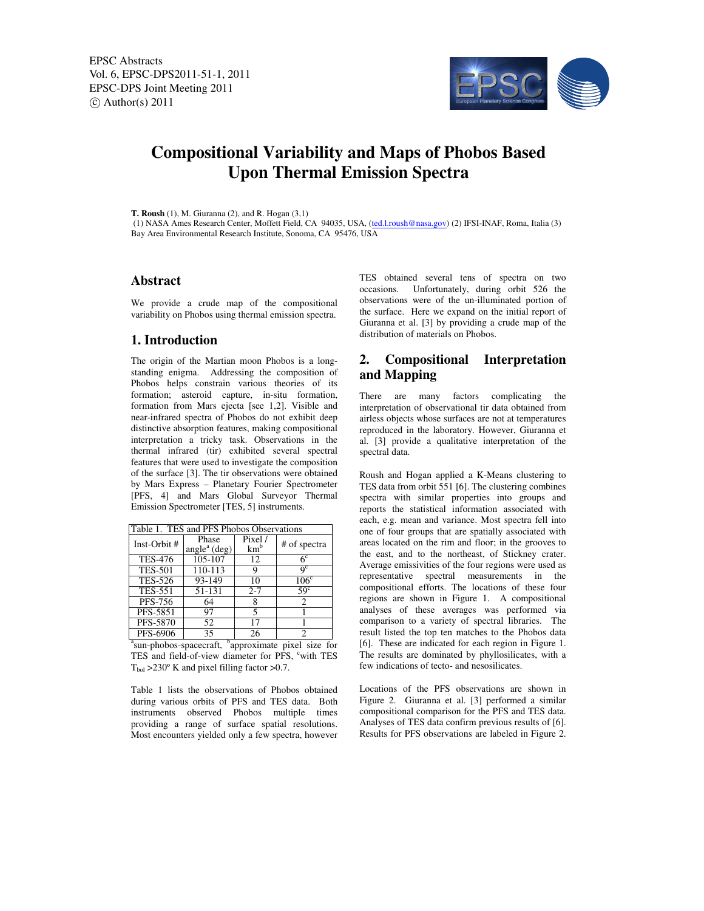

# **Compositional Variability and Maps of Phobos Based Upon Thermal Emission Spectra**

**T. Roush** (1), M. Giuranna (2), and R. Hogan (3,1)

 (1) NASA Ames Research Center, Moffett Field, CA 94035, USA, (ted.l.roush@nasa.gov) (2) IFSI-INAF, Roma, Italia (3) Bay Area Environmental Research Institute, Sonoma, CA 95476, USA

## **Abstract**

We provide a crude map of the compositional variability on Phobos using thermal emission spectra.

### **1. Introduction**

The origin of the Martian moon Phobos is a longstanding enigma. Addressing the composition of Phobos helps constrain various theories of its formation; asteroid capture, in-situ formation, formation from Mars ejecta [see 1,2]. Visible and near-infrared spectra of Phobos do not exhibit deep distinctive absorption features, making compositional interpretation a tricky task. Observations in the thermal infrared (tir) exhibited several spectral features that were used to investigate the composition of the surface [3]. The tir observations were obtained by Mars Express – Planetary Fourier Spectrometer [PFS, 4] and Mars Global Surveyor Thermal Emission Spectrometer [TES, 5] instruments.

| Table 1. TES and PFS Phobos Observations |                                                |                           |                           |
|------------------------------------------|------------------------------------------------|---------------------------|---------------------------|
| Inst-Orbit #                             | Phase<br>angle <sup><math>a</math></sup> (deg) | Pixel/<br>km <sup>b</sup> | # of spectra              |
| <b>TES-476</b>                           | 105-107                                        | 12                        | 6 <sup>c</sup>            |
| <b>TES-501</b>                           | 110-113                                        | 9                         | $\mathbf{Q}^{\mathbf{C}}$ |
| <b>TES-526</b>                           | 93-149                                         | 10                        | 106 <sup>c</sup>          |
| <b>TES-551</b>                           | 51-131                                         | $2 - 7$                   | 59 <sup>c</sup>           |
| PFS-756                                  | 64                                             |                           | 2                         |
| PFS-5851                                 | 97                                             | 5                         |                           |
| PFS-5870                                 | 52                                             | 17                        |                           |
| PFS-6906                                 | 35                                             | 26                        | 2                         |

<sup>a</sup>sun-phobos-spacecraft, <sup>b</sup>approximate pixel size for TES and field-of-view diameter for PFS, "with TES  $T_{bol} > 230^{\circ}$  K and pixel filling factor  $> 0.7$ .

Table 1 lists the observations of Phobos obtained during various orbits of PFS and TES data. Both instruments observed Phobos multiple times providing a range of surface spatial resolutions. Most encounters yielded only a few spectra, however TES obtained several tens of spectra on two occasions. Unfortunately, during orbit 526 the observations were of the un-illuminated portion of the surface. Here we expand on the initial report of Giuranna et al. [3] by providing a crude map of the distribution of materials on Phobos.

# **2. Compositional Interpretation and Mapping**

There are many factors complicating the interpretation of observational tir data obtained from airless objects whose surfaces are not at temperatures reproduced in the laboratory. However, Giuranna et al. [3] provide a qualitative interpretation of the spectral data.

Roush and Hogan applied a K-Means clustering to TES data from orbit 551 [6]. The clustering combines spectra with similar properties into groups and reports the statistical information associated with each, e.g. mean and variance. Most spectra fell into one of four groups that are spatially associated with areas located on the rim and floor; in the grooves to the east, and to the northeast, of Stickney crater. Average emissivities of the four regions were used as representative spectral measurements in the compositional efforts. The locations of these four regions are shown in Figure 1. A compositional analyses of these averages was performed via comparison to a variety of spectral libraries. The result listed the top ten matches to the Phobos data [6]. These are indicated for each region in Figure 1. The results are dominated by phyllosilicates, with a few indications of tecto- and nesosilicates.

Locations of the PFS observations are shown in Figure 2. Giuranna et al. [3] performed a similar compositional comparison for the PFS and TES data. Analyses of TES data confirm previous results of [6]. Results for PFS observations are labeled in Figure 2.